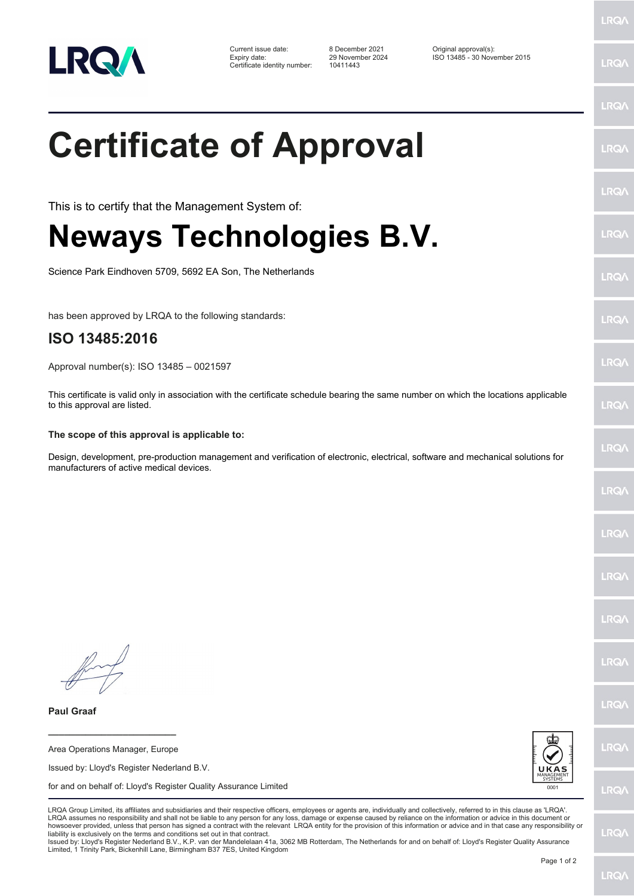

Certificate identity number: 10411443

Current issue date: 8 December 2021 Original approval(s): Expiry date: 29 November 2024 ISO 13485 - 30 November 2015

## **Certificate of Approval**

This is to certify that the Management System of:

## **Neways Technologies B.V.**

Science Park Eindhoven 5709, 5692 EA Son, The Netherlands

has been approved by LRQA to the following standards:

## **ISO 13485:2016**

Approval number(s): ISO 13485 – 0021597

This certificate is valid only in association with the certificate schedule bearing the same number on which the locations applicable to this approval are listed.

## **The scope of this approval is applicable to:**

Design, development, pre-production management and verification of electronic, electrical, software and mechanical solutions for manufacturers of active medical devices.

LRQ/

LRQ/

**LRQ/** 

LRQ/

LRQ/

LRQ/

LRQ/

LRQ/

LRQ/

LRQ/

**\_\_\_\_\_\_\_\_\_\_\_\_\_\_\_\_\_\_\_\_\_\_\_\_** Area Operations Manager, Europe

**Paul Graaf**

Issued by: Lloyd's Register Nederland B.V.

for and on behalf of: Lloyd's Register Quality Assurance Limited



LRQA Group Limited, its affiliates and subsidiaries and their respective officers, employees or agents are, individually and collectively, referred to in this clause as 'LRQA'. LRQA assumes no responsibility and shall not be liable to any person for any loss, damage or expense caused by reliance on the information or advice in this document or howsoever provided, unless that person has signed a contract with the relevant LRQA entity for the provision of this information or advice and in that case any responsibility or<br>liability is exclusively on the terms and co

Issued by: Lloyd's Register Nederland B.V., K.P. van der Mandelelaan 41a, 3062 MB Rotterdam, The Netherlands for and on behalf of: Lloyd's Register Quality Assurance Limited, 1 Trinity Park, Bickenhill Lane, Birmingham B37 7ES, United Kingdom

LRQ/

LRQ/

LRQ/

LRQ/

LRQ/

LRQ/

LRQ/

LRQ/

LRQ/

LRQ/